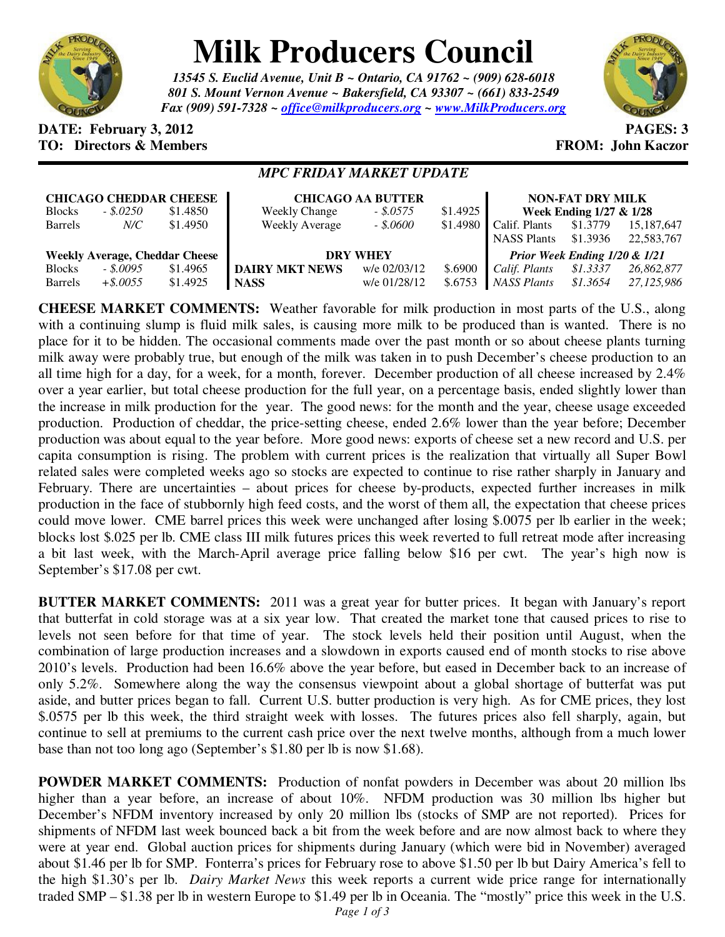

# **Milk Producers Council**

*13545 S. Euclid Avenue, Unit B ~ Ontario, CA 91762 ~ (909) 628-6018 801 S. Mount Vernon Avenue ~ Bakersfield, CA 93307 ~ (661) 833-2549 Fax (909) 591-7328 ~ office@milkproducers.org ~ www.MilkProducers.org*



### **DATE: February 3, 2012 PAGES: 3 TO: Directors & Members TO: Piccore All Members FROM: John Kaczor**

## *MPC FRIDAY MARKET UPDATE*

| <b>CHICAGO CHEDDAR CHEESE</b>         |              |          | <b>CHICAGO AA BUTTER</b> |              |           | <b>NON-FAT DRY MILK</b>       |          |            |
|---------------------------------------|--------------|----------|--------------------------|--------------|-----------|-------------------------------|----------|------------|
| <b>Blocks</b>                         | $-.$ \$.0250 | \$1.4850 | <b>Weekly Change</b>     | $-.5.0575$   | \$1.4925  | Week Ending 1/27 & 1/28       |          |            |
| <b>Barrels</b>                        | N/C          | \$1.4950 | <b>Weekly Average</b>    | $-.15,0600$  | $$1.4980$ | Calif. Plants                 | \$1.3779 | 15,187,647 |
|                                       |              |          |                          |              |           | <b>NASS Plants</b>            | \$1.3936 | 22,583,767 |
| <b>Weekly Average, Cheddar Cheese</b> |              |          | <b>DRY WHEY</b>          |              |           | Prior Week Ending 1/20 & 1/21 |          |            |
| <b>Blocks</b>                         | $-.5,0095$   | \$1.4965 | <b>DAIRY MKT NEWS</b>    | w/e 02/03/12 | \$.6900   | Calif. Plants                 | \$1.3337 | 26,862,877 |
| <b>Barrels</b>                        | $+$ \$.0055  | \$1.4925 | <b>NASS</b>              | w/e 01/28/12 | \$.6753   | NASS Plants                   | \$1.3654 | 27.125.986 |

**CHEESE MARKET COMMENTS:** Weather favorable for milk production in most parts of the U.S., along with a continuing slump is fluid milk sales, is causing more milk to be produced than is wanted. There is no place for it to be hidden. The occasional comments made over the past month or so about cheese plants turning milk away were probably true, but enough of the milk was taken in to push December's cheese production to an all time high for a day, for a week, for a month, forever. December production of all cheese increased by 2.4% over a year earlier, but total cheese production for the full year, on a percentage basis, ended slightly lower than the increase in milk production for the year. The good news: for the month and the year, cheese usage exceeded production. Production of cheddar, the price-setting cheese, ended 2.6% lower than the year before; December production was about equal to the year before. More good news: exports of cheese set a new record and U.S. per capita consumption is rising. The problem with current prices is the realization that virtually all Super Bowl related sales were completed weeks ago so stocks are expected to continue to rise rather sharply in January and February. There are uncertainties – about prices for cheese by-products, expected further increases in milk production in the face of stubbornly high feed costs, and the worst of them all, the expectation that cheese prices could move lower. CME barrel prices this week were unchanged after losing \$.0075 per lb earlier in the week; blocks lost \$.025 per lb. CME class III milk futures prices this week reverted to full retreat mode after increasing a bit last week, with the March-April average price falling below \$16 per cwt. The year's high now is September's \$17.08 per cwt.

**BUTTER MARKET COMMENTS:** 2011 was a great year for butter prices. It began with January's report that butterfat in cold storage was at a six year low. That created the market tone that caused prices to rise to levels not seen before for that time of year. The stock levels held their position until August, when the combination of large production increases and a slowdown in exports caused end of month stocks to rise above 2010's levels. Production had been 16.6% above the year before, but eased in December back to an increase of only 5.2%. Somewhere along the way the consensus viewpoint about a global shortage of butterfat was put aside, and butter prices began to fall. Current U.S. butter production is very high. As for CME prices, they lost \$.0575 per lb this week, the third straight week with losses. The futures prices also fell sharply, again, but continue to sell at premiums to the current cash price over the next twelve months, although from a much lower base than not too long ago (September's \$1.80 per lb is now \$1.68).

**POWDER MARKET COMMENTS:** Production of nonfat powders in December was about 20 million lbs higher than a year before, an increase of about 10%. NFDM production was 30 million lbs higher but December's NFDM inventory increased by only 20 million lbs (stocks of SMP are not reported). Prices for shipments of NFDM last week bounced back a bit from the week before and are now almost back to where they were at year end. Global auction prices for shipments during January (which were bid in November) averaged about \$1.46 per lb for SMP. Fonterra's prices for February rose to above \$1.50 per lb but Dairy America's fell to the high \$1.30's per lb. *Dairy Market News* this week reports a current wide price range for internationally traded SMP – \$1.38 per lb in western Europe to \$1.49 per lb in Oceania. The "mostly" price this week in the U.S.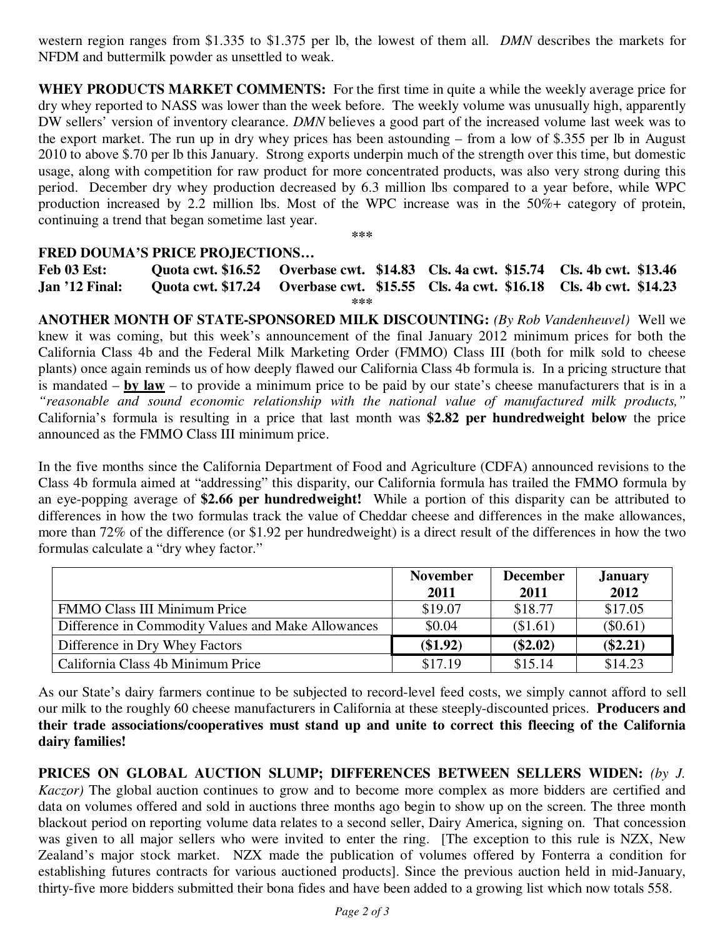western region ranges from \$1.335 to \$1.375 per lb, the lowest of them all. *DMN* describes the markets for NFDM and buttermilk powder as unsettled to weak.

**WHEY PRODUCTS MARKET COMMENTS:** For the first time in quite a while the weekly average price for dry whey reported to NASS was lower than the week before. The weekly volume was unusually high, apparently DW sellers' version of inventory clearance. *DMN* believes a good part of the increased volume last week was to the export market. The run up in dry whey prices has been astounding – from a low of \$.355 per lb in August 2010 to above \$.70 per lb this January. Strong exports underpin much of the strength over this time, but domestic usage, along with competition for raw product for more concentrated products, was also very strong during this period. December dry whey production decreased by 6.3 million lbs compared to a year before, while WPC production increased by 2.2 million lbs. Most of the WPC increase was in the 50%+ category of protein, continuing a trend that began sometime last year.

**\*\*\*** 

### **FRED DOUMA'S PRICE PROJECTIONS…**

**Feb 03 Est: Quota cwt. \$16.52 Overbase cwt. \$14.83 Cls. 4a cwt. \$15.74 Cls. 4b cwt. \$13.46 Jan '12 Final: Quota cwt. \$17.24 Overbase cwt. \$15.55 Cls. 4a cwt. \$16.18 Cls. 4b cwt. \$14.23 \*\*\*** 

**ANOTHER MONTH OF STATE-SPONSORED MILK DISCOUNTING:** *(By Rob Vandenheuvel)* Well we knew it was coming, but this week's announcement of the final January 2012 minimum prices for both the California Class 4b and the Federal Milk Marketing Order (FMMO) Class III (both for milk sold to cheese plants) once again reminds us of how deeply flawed our California Class 4b formula is. In a pricing structure that is mandated – **by law** – to provide a minimum price to be paid by our state's cheese manufacturers that is in a *"reasonable and sound economic relationship with the national value of manufactured milk products,"* California's formula is resulting in a price that last month was **\$2.82 per hundredweight below** the price announced as the FMMO Class III minimum price.

In the five months since the California Department of Food and Agriculture (CDFA) announced revisions to the Class 4b formula aimed at "addressing" this disparity, our California formula has trailed the FMMO formula by an eye-popping average of **\$2.66 per hundredweight!** While a portion of this disparity can be attributed to differences in how the two formulas track the value of Cheddar cheese and differences in the make allowances, more than 72% of the difference (or \$1.92 per hundredweight) is a direct result of the differences in how the two formulas calculate a "dry whey factor."

|                                                    | <b>November</b> | <b>December</b> | <b>January</b> |
|----------------------------------------------------|-----------------|-----------------|----------------|
|                                                    | 2011            | 2011            | 2012           |
| <b>FMMO Class III Minimum Price</b>                | \$19.07         | \$18.77         | \$17.05        |
| Difference in Commodity Values and Make Allowances | \$0.04          | (\$1.61)        | $(\$0.61)$     |
| Difference in Dry Whey Factors                     | (\$1.92)        | $(\$2.02)$      | $(\$2.21)$     |
| California Class 4b Minimum Price                  | \$17.19         | \$15.14         | \$14.23        |

As our State's dairy farmers continue to be subjected to record-level feed costs, we simply cannot afford to sell our milk to the roughly 60 cheese manufacturers in California at these steeply-discounted prices. **Producers and their trade associations/cooperatives must stand up and unite to correct this fleecing of the California dairy families!** 

**PRICES ON GLOBAL AUCTION SLUMP; DIFFERENCES BETWEEN SELLERS WIDEN:** *(by J. Kaczor)* The global auction continues to grow and to become more complex as more bidders are certified and data on volumes offered and sold in auctions three months ago begin to show up on the screen. The three month blackout period on reporting volume data relates to a second seller, Dairy America, signing on. That concession was given to all major sellers who were invited to enter the ring. [The exception to this rule is NZX, New Zealand's major stock market. NZX made the publication of volumes offered by Fonterra a condition for establishing futures contracts for various auctioned products]. Since the previous auction held in mid-January, thirty-five more bidders submitted their bona fides and have been added to a growing list which now totals 558.